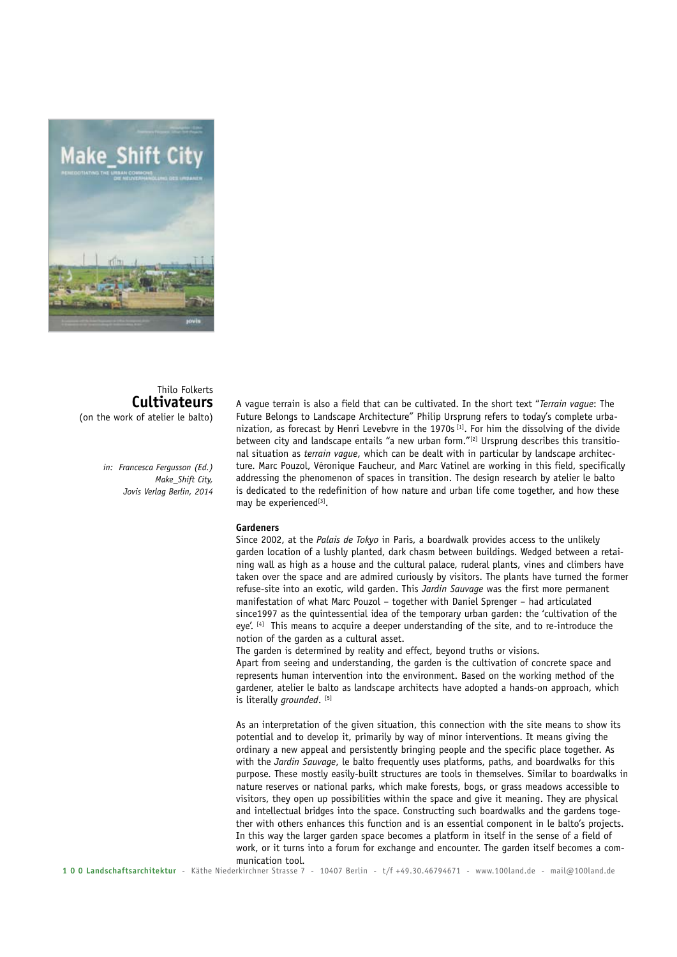

## Thilo Folkerts **Cultivateurs** (on the work of atelier le balto)

*in: Francesca Fergusson (Ed.) Make\_Shift City, Jovis Verlag Berlin, 2014*

A vague terrain is also a field that can be cultivated. In the short text "*Terrain vague*: The Future Belongs to Landscape Architecture" Philip Ursprung refers to today's complete urbanization, as forecast by Henri Levebvre in the 1970s<sup>[1]</sup>. For him the dissolving of the divide between city and landscape entails "a new urban form."[2] Ursprung describes this transitional situation as *terrain vague*, which can be dealt with in particular by landscape architecture. Marc Pouzol, Véronique Faucheur, and Marc Vatinel are working in this field, specifically addressing the phenomenon of spaces in transition. The design research by atelier le balto is dedicated to the redefinition of how nature and urban life come together, and how these may be experienced<sup>[3]</sup>.

## **Gardeners**

Since 2002, at the *Palais de Tokyo* in Paris, a boardwalk provides access to the unlikely garden location of a lushly planted, dark chasm between buildings. Wedged between a retaining wall as high as a house and the cultural palace, ruderal plants, vines and climbers have taken over the space and are admired curiously by visitors. The plants have turned the former refuse-site into an exotic, wild garden. This *Jardin Sauvage* was the first more permanent manifestation of what Marc Pouzol – together with Daniel Sprenger – had articulated since1997 as the quintessential idea of the temporary urban garden: the 'cultivation of the eye'. [4] This means to acquire a deeper understanding of the site, and to re-introduce the notion of the garden as a cultural asset.

The garden is determined by reality and effect, beyond truths or visions.

Apart from seeing and understanding, the garden is the cultivation of concrete space and represents human intervention into the environment. Based on the working method of the gardener, atelier le balto as landscape architects have adopted a hands-on approach, which is literally *grounded*. [5]

As an interpretation of the given situation, this connection with the site means to show its potential and to develop it, primarily by way of minor interventions. It means giving the ordinary a new appeal and persistently bringing people and the specific place together. As with the *Jardin Sauvage*, le balto frequently uses platforms, paths, and boardwalks for this purpose. These mostly easily-built structures are tools in themselves. Similar to boardwalks in nature reserves or national parks, which make forests, bogs, or grass meadows accessible to visitors, they open up possibilities within the space and give it meaning. They are physical and intellectual bridges into the space. Constructing such boardwalks and the gardens together with others enhances this function and is an essential component in le balto's projects. In this way the larger garden space becomes a platform in itself in the sense of a field of work, or it turns into a forum for exchange and encounter. The garden itself becomes a communication tool.